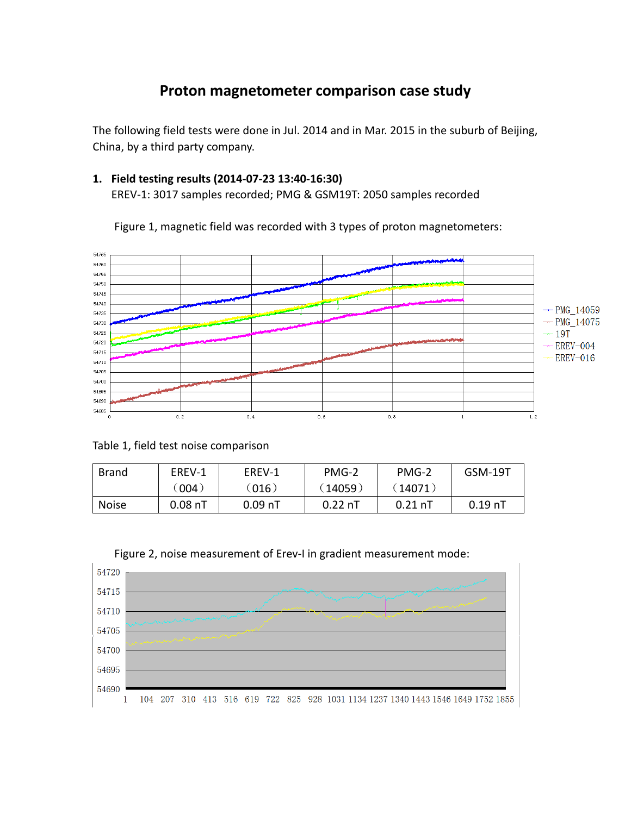## **Proton magnetometer comparison case study**

The following field tests were done in Jul. 2014 and in Mar. 2015 in the suburb of Beijing, China, by a third party company.

## **1. Field testing results (2014-07-23 13:40-16:30)**

EREV-1: 3017 samples recorded; PMG & GSM19T: 2050 samples recorded

Figure 1, magnetic field was recorded with 3 types of proton magnetometers:



Table 1, field test noise comparison

| <b>Brand</b> | EREV-1           | EREV-1    | PMG-2     | PMG-2     | GSM-19T   |
|--------------|------------------|-----------|-----------|-----------|-----------|
|              | $\degree{004}$ . | (016)     | (14059    | 14071     |           |
| <b>Noise</b> | $0.08$ nT        | $0.09$ nT | $0.22$ nT | $0.21$ nT | $0.19$ nT |